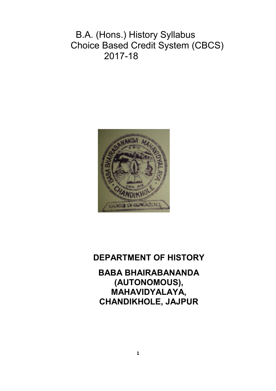B.A. (Hons.) History Syllabus Choice Based Credit System (CBCS) 2017-18



# **DEPARTMENT OF HISTORY**

**BABA BHAIRABANANDA (AUTONOMOUS), MAHAVIDYALAYA, CHANDIKHOLE, JAJPUR**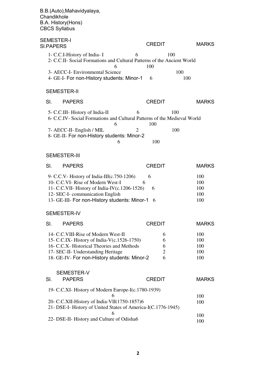B.B.(Auto),Mahavidyalaya, **Chandikhole** B.A. History(Hons) CBCS Syllabus SEMESTER-I SLIPAPERS CREDIT MARKS 1- C.C.I-History of India- I 6 100 2- C.C.II- Social Formations and Cultural Patterns of the Ancient World 6 100 3- AECC-I- Environmental Science 100 4- GE-I- For non-History students: Minor-1 6 100 SEMESTER-II Sl. PAPERS CREDIT MARKS 5- C.C.III- History of India-II 6 100 6- C.C.IV- Social Formations and Cultural Patterns of the Medieval World 6 100 7- AECC-II- English / MIL 2 100 8- GE-II- For non-History students: Minor-2 6 100 SEMESTER-III SI. PAPERS CREDIT MARKS 9- C.C.V- History of India-III(c.750-1206) 6 10- C.C.VI- Rise of Modern West-I 6 11- C.C.VII- History of India-IV(c.1206-1526) 6 12- SEC-I- communication English 13- GE-III- For non-History students: Minor-1 6 SEMESTER-IV SI. PAPERS CREDIT 100 100 100 100 100 MARKS 14- C.C.VIII-Rise of Modern West-II 15- C.C.IX- History of India-V(c.1526-1750) 16- C.C.X- Historical Theories and Methods 17- SEC-II- Understanding Heritage 18- GE-IV- For non-History students: Minor-2 SEMESTER-V Sl. PAPERS 6 6 6 2 6 100 100 100 100 100 CREDIT MARKS 19- C.C.XI- History of Modern Europe-I(c.1780-1939) 6 20- C.C.XII-History of India-VII(1750-1857)6 21- DSE-I- History of United States of America-I(C.1776-1945) 6 22- DSE-II- History and Culture of Odisha6 100 100 100 100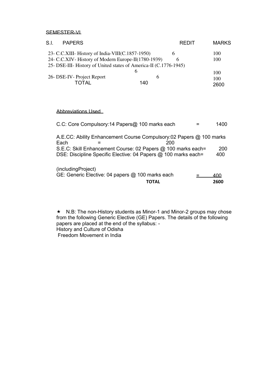SEMESTER-VI

| S.I.<br><b>PAPERS</b>                                             |     | <b>REDIT</b> | <b>MARKS</b> |
|-------------------------------------------------------------------|-----|--------------|--------------|
| 23- C.C.XIII- History of India-VIII(C.1857-1950)                  | 6   |              | 100          |
| 24- C.C.XIV - History of Modern Europe-II(1780-1939)              |     |              | 100          |
| 25- DSE-III- History of United states of America-II (C.1776-1945) |     |              |              |
|                                                                   | h   |              | 100          |
| 26- DSE-IV- Project Report                                        |     |              | 100          |
| TOTAI                                                             | 140 |              | 2600         |

# Abbreviations Used

| C.C: Core Compulsory:14 Papers@ 100 marks each                                     | 1400        |
|------------------------------------------------------------------------------------|-------------|
| A.E.CC: Ability Enhancement Course Compulsory:02 Papers @ 100 marks<br>Each<br>200 |             |
| S.E.C: Skill Enhancement Course: 02 Papers @ 100 marks each=                       | 200         |
| DSE: Discipline Specific Elective: 04 Papers @ 100 marks each=                     | 400         |
| (includingProject)                                                                 |             |
| GE: Generic Elective: 04 papers @ 100 marks each<br>ΤΟΤΑL                          | 400<br>2600 |

\* N.B: The non-History students as Minor-1 and Minor-2 groups may chose from the following Generic Elective (GE) Papers. The details of the following papers are placed at the end of the syllabus: - History and Culture of Odisha Freedom Movement in India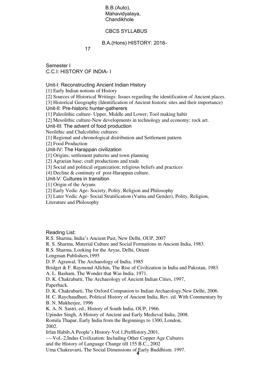B.B.(Auto), Mahavidyalaya, **Chandikhole** 

## CBCS SYLLABUS

B.A.(Hons) HISTORY: 2016-

17

Semester I C.C.I: HISTORY OF INDIA- I

Unit-I: Reconstructing Ancient Indian History

[1] Early Indian notions of History

[2] Sources of Historical Writings: Issues regarding the identification of Ancient places.

[3] Historical Geography (Identification of Ancient historic sites and their importance)

Unit-II: Pre-historic hunter-gatherers

[1] Paleolithic culture- Upper, Middle and Lower; Tool making habit

[2] Mesolithic culture-New developments in technology and economy; rock art.

Unit-III: The advent of food production

Neolithic and Chalcolithic cultures:

[1] Regional and chronological distribution and Settlement pattern

[2] Food Production

Unit-IV: The Harappan civilization

[1] Origins; settlement patterns and town planning

[2] Agrarian base; craft productions and trade

[3] Social and political organization; religious beliefs and practices

[4] Decline & continuty of post-Harappan culture.

Unit-V: Cultures in transition

[1] Origin of the Aryans

[2] Early Vedic Age- Society, Polity, Religion and Philosophy

[3] Later Vedic Age- Social Stratification (Varna and Gender), Polity, Religion,

Literature and Philosophy

Reading List:

R.S. Sharma, India's Ancient Past, New Delhi, OUP, 2007

R. S. Sharma, Material Culture and Social Formations in Ancient India, 1983.

R.S. Sharma, Looking for the Aryas, Delhi, Orient

Longman Publishers,1995

D. P. Agrawal, The Archaeology of India, 1985

Bridget & F. Raymond Allchin, The Rise of Civilization in India and Pakistan, 1983.

A. L. Basham, The Wonder that Was India, 1971.

D. K. Chakrabarti, The Archaeology of Ancient Indian Cities, 1997, Paperback.

D. K. Chakrabarti, The Oxford Companion to Indian Archaeology,New Delhi, 2006.

H. C. Raychaudhuri, Political History of Ancient India, Rev. ed. With Commentary by B. N. Mukherjee, 1996

K. A. N. Sastri, ed., History of South India, OUP, 1966.

Upinder Singh, A History of Ancient and Early Medieval India, 2008.

Romila Thapar, Early India from the Beginnings to 1300, London,

2002.

Irfan Habib,A People's History-Vol.1,PreHistory,2001,

----Vol.-2,Indus Civilization: Including Other Copper Age Cultures

and the History of Language Change till 155 B.C., 2002

**4**  Uma Chakravarti, The Social Dimensions of Early Buddhism. 1997.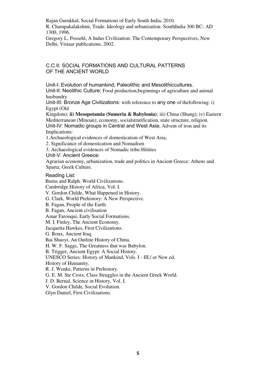Rajan Gurukkal, Social Formations of Early South India, 2010. R. Champakalakshmi, Trade. Ideology and urbanization: SouthIndia 300 BC- AD 1300, 1996.

Gregory L. Possehl, A Indus Civilization: The Contemporary Perspectives, New Delhi, Vistaar publications, 2002.

# C.C.II: SOCIAL FORMATIONS AND CULTURAL PATTERNS OF THE ANCIENT WORLD

Unit-I: Evolution of humankind; Paleolithic and Mesolithiccultures. Unit-II: Neolithic Culture: Food production;beginnings of agriculture and animal husbandry

Unit-III: Bronze Age Civilizations: with reference to any one of thefollowing: i) Egypt (Old

Kingdom); **ii) Mesopotamia (Sumeria & Babylonia)**; iii) China (Shang); iv) Eastern Mediterranean (Minoan); economy, socialstratification, state structure, religion. Unit-IV: Nomadic groups in Central and West Asia; Advent of iron and its Implications:

1.Archaeological evidences of domestication of West Asia,

2. Significance of domestication and Nomadism

3. Archaeological evidences of Nomadic tribe:Hittites

Unit-V: Ancient Greece:

Agrarian economy, urbanization, trade and politics in Ancient Greece: Athens and Sparta; Greek Culture.

Reading List:

Burns and Ralph. World Civilizations. Cambridge History of Africa, Vol. I. V. Gordon Childe, What Happened in History. G. Clark, World Prehistory: A New Perspective. B. Fagan, People of the Earth. B. Fagan, Ancient civilisation Amar Farooqui, Early Social Formations. M. I. Finley, The Ancient Economy. Jacquetta Hawkes, First Civilizations. G. Roux, Ancient Iraq. Bai Shaoyi, An Outline History of China. H. W. F. Saggs, The Greatness that was Babylon.

B. Trigger, Ancient Egypt: A Social History.

UNESCO Series: History of Mankind, Vols. I - III./ or New ed.

History of Humanity.

R. J. Wenke, Patterns in Prehistory.

G. E. M. Ste Croix, Class Struggles in the Ancient Greek World.

J. D. Bernal, Science in History, Vol. I.

V. Gordon Childe, Social Evolution.

Glyn Daniel, First Civilizations.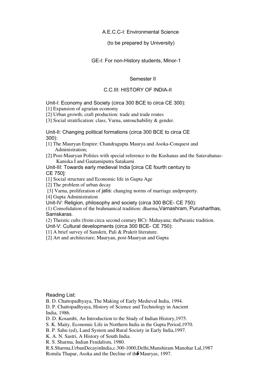## A.E.C.C-I: Environmental Science

(to be prepared by University)

GE-I: For non-History students, Minor-1

Semester II

# C.C.III: HISTORY OF INDIA-II

Unit-I: Economy and Society (circa 300 BCE to circa CE 300):

[1] Expansion of agrarian economy

[2] Urban growth; craft production: trade and trade routes

[3] Social stratification: class, Varna, untouchability & gender.

Unit-II: Changing political formations (circa 300 BCE to circa CE 300):

[1] The Mauryan Empire: Chandragupta Maurya and Asoka-Conquest and Administration;

[2] Post-Mauryan Polities with special reference to the Kushanas and the Satavahanas- Kaniska I and Gautamiputra Satakarni

Unit-III: Towards early medieval India [circa CE fourth century to CE 750]:

[1] Social structure and Economic life in Gupta Age

[2] The problem of urban decay

[3] Varna, proliferation of jatis: changing norms of marriage andproperty.

[4] Gupta Administration

Unit-IV: Religion, philosophy and society (circa 300 BCE- CE 750):

(1) Consolidation of the brahmanical tradition: dharma,Varnashram, Purusharthas, Samskaras.

(2) Theistic cults (from circa second century BC): Mahayana; thePuranic tradition.

Unit-V: Cultural developments (circa 300 BCE- CE 750):

[1] A brief survey of Sanskrit, Pali & Prakrit literature.

[2] Art and architecture; Mauryan, post-Mauryan and Gupta

Reading List:

B. D. Chattopadhyaya, The Making of Early Medieval India, 1994.

D. P. Chattopadhyaya, History of Science and Technology in Ancient India, 1986.

D. D. Kosambi, An Introduction to the Study of Indian History,1975.

S. K. Maity, Economic Life in Northern India in the Gupta Period,1970.

B. P. Sahu (ed), Land System and Rural Society in Early India,1997.

K. A. N. Sastri, A History of South India.

R. S. Sharma, Indian Feudalism, 1980.

Romila Thapar, Asoka and the Decline of th**6** Mauryas, 1997. R.S.Sharma,UrbanDecayinIndia,c.300-1000,Delhi,Munshiram Manohar Lal,1987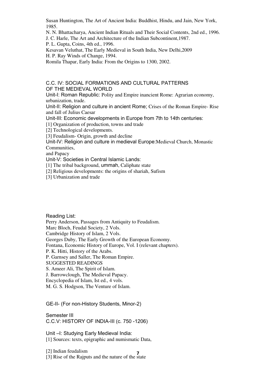Susan Huntington, The Art of Ancient India: Buddhist, Hindu, and Jain, New York, 1985.

N. N. Bhattacharya, Ancient Indian Rituals and Their Social Contents, 2nd ed., 1996.

J. C. Harle, The Art and Architecture of the Indian Subcontinent,1987.

P. L. Gupta, Coins, 4th ed., 1996.

Kesavan Veluthat, The Early Medieval in South India, New Delhi,2009 H. P. Ray Winds of Change, 1994.

Romila Thapar, Early India: From the Origins to 1300, 2002.

## C.C. IV: SOCIAL FORMATIONS AND CULTURAL PATTERNS OF THE MEDIEVAL WORLD

Unit-I: Roman Republic: Polity and Empire inancient Rome: Agrarian economy, urbanization, trade.

Unit-II: Religion and culture in ancient Rome; Crises of the Roman Empire- Rise and fall of Julius Caesar

Unit-III: Economic developments in Europe from 7th to 14th centuries:

[1] Organization of production, towns and trade

[2] Technological developments.

[3] Feudalism- Origin, growth and decline

Unit-IV: Religion and culture in medieval Europe:Medieval Church, Monastic Communities,

and Papacy

Unit-V: Societies in Central Islamic Lands:

[1] The tribal background, ummah, Caliphate state

[2] Religious developments: the origins of shariah, Sufism

[3] Urbanization and trade

Reading List: Perry Anderson, Passages from Antiquity to Feudalism. Marc Bloch, Feudal Society, 2 Vols. Cambridge History of Islam, 2 Vols. Georges Duby, The Early Growth of the European Economy. Fontana, Economic History of Europe, Vol. I (relevant chapters). P. K. Hitti, History of the Arabs. P. Garnsey and Saller, The Roman Empire. SUGGESTED READINGS S. Ameer Ali, The Spirit of Islam. J. Barrowclough, The Medieval Papacy. Encyclopedia of Islam, Ist ed., 4 vols.

M. G. S. Hodgson, The Venture of Islam.

GE-II- (For non-History Students, Minor-2)

Semester III C.C.V: HISTORY OF INDIA-III (c. 750 -1206)

Unit –I: Studying Early Medieval India: [1] Sources: texts, epigraphic and numismatic Data,

[2] Indian feudalism

**7**  [3] Rise of the Rajputs and the nature of the state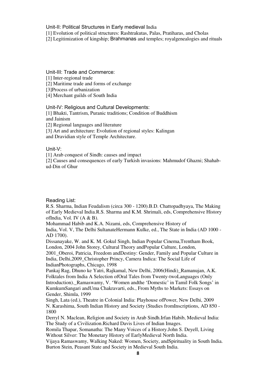Unit-II: Political Structures in Early medieval India

[1] Evolution of political structures: Rashtrakutas, Palas, Pratiharas, and Cholas

[2] Legitimization of kingship; Brahmanas and temples; royalgenealogies and rituals

## Unit-III: Trade and Commerce:

[1] Inter-regional trade

[2] Maritime trade and forms of exchange

[3]Process of urbanization

[4] Merchant guilds of South India

Unit-IV: Religious and Cultural Developments:

[1] Bhakti, Tantrism, Puranic traditions; Condition of Buddhism and Jainism

[2] Regional languages and literature

[3] Art and architecture: Evolution of regional styles: Kalingan

and Dravidian style of Temple Architecture.

## Unit-V:

[1] Arab conquest of Sindh: causes and impact

[2] Causes and consequences of early Turkish invasions: Mahmudof Ghazni; Shahabud-Din of Ghur

## Reading List:

R.S. Sharma, Indian Feudalism (circa 300 - 1200).B.D. Chattopadhyaya, The Making of Early Medieval India.R.S. Sharma and K.M. Shrimali, eds, Comprehensive History ofIndia, Vol. IV  $(A & B)$ .

Mohammad Habib and K.A. Nizami, eds, Comprehensive History of

India, Vol. V, The Delhi SultanateHermann Kulke, ed., The State in India (AD 1000 - AD 1700).

Dissanayake, W. and K. M. Gokul Singh, Indian Popular Cinema,Trentham Book, London, 2004 John Storey, Cultural Theory andPopular Culture, London, 2001\_Oberoi, Patricia, Freedom andDestiny: Gender, Family and Popular Culture in India, Delhi,2009\_Christopher Princy, Camera Indica: The Social Life of

IndianPhotographs, Chicago, 1998

Pankaj Rag, Dhuno ke Yatri, Rajkamal, New Delhi, 2006(Hindi)\_Ramanujan, A.K. Folktales from India A Selection ofOral Tales from Twenty-twoLanguages (Only Introduction).\_Ramaswamy, V. 'Women andthe 'Domestic' in Tamil Folk Songs' in KumkumSangari andUma Chakravarti, eds., From Myths to Markets: Essays on Gender, Shimla, 1999

Singh, Lata (ed.), Theatre in Colonial India: Playhouse ofPower, New Delhi, 2009 N. Karashima, South Indian History and Society (Studies fromInscriptions, AD 850 - 1800

Derryl N. Maclean, Religion and Society in Arab Sindh.Irfan Habib, Medieval India: The Study of a Civilization.Richard Davis Lives of Indian Images.

Romila Thapar, Somanatha: The Many Voices of a History.John S. Deyell, Living Without Silver: The Monetary History of EarlyMedieval North India.

Vijaya Ramaswamy, Walking Naked: Women, Society, andSpirituality in South India. Burton Stein, Peasant State and Society in Medieval South India.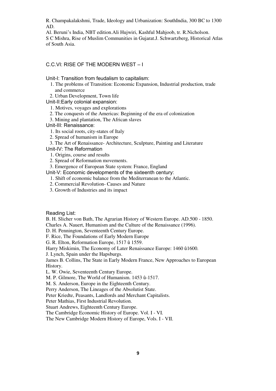R. Champakalakshmi, Trade, Ideology and Urbanization: SouthIndia, 300 BC to 1300 AD.

Al. Beruni's India, NBT edition.Ali Hujwiri, Kashful Mahjoob, tr. R.Nicholson. S C Mishra, Rise of Muslim Communities in Gujarat.J. Schwartzberg, Historical Atlas of South Asia.

# C.C.VI: RISE OF THE MODERN WEST – I

Unit-I: Transition from feudalism to capitalism:

- 1. The problems of Transition: Economic Expansion, Industrial production, trade and commerce
- 2. Urban Development, Town life
- Unit-II:Early colonial expansion:

1. Motives, voyages and explorations

- 2. The conquests of the Americas: Beginning of the era of colonization
- 3. Mining and plantation, The African slaves

Unit-III: Renaissance:

- 1. Its social roots, city-states of Italy
- 2. Spread of humanism in Europe

 3. The Art of Renaissance- Architecture, Sculpture, Painting and Literature Unit-IV: The Reformation

1. Origins, course and results

- 2. Spread of Reformation movements.
- 3. Emergence of European State system: France, England

Unit-V: Economic developments of the sixteenth century:

- 1. Shift of economic balance from the Mediterranean to the Atlantic.
- 2. Commercial Revolution- Causes and Nature
- 3. Growth of Industries and its impact

Reading List:

B. H. Slicher von Bath, The Agrarian History of Western Europe. AD.500 - 1850.

Charles A. Nauert, Humanism and the Culture of the Renaissance (1996).

D. H. Pennington, Seventeenth Century Europe.

F. Rice, The Foundations of Early Modern Europe

G. R. Elton, Reformation Europe, 1517 û 1559.

Harry Miskimin, The Economy of Later Renaissance Europe: 1460 û1600.

J. Lynch, Spain under the Hapsburgs.

James B. Collins, The State in Early Modern France, New Approaches to European History.

L. W. Owie, Seventeenth Century Europe.

M. P. Gilmore, The World of Humanism. 1453 û-1517.

M. S. Anderson, Europe in the Eighteenth Century.

Perry Anderson, The Lineages of the Absolutist State.

Peter Kriedte, Peasants, Landlords and Merchant Capitalists.

Peter Mathias, First Industrial Revolution.

Stuart Andrews, Eighteenth Century Europe.

The Cambridge Economic History of Europe. Vol. I - VI.

The New Cambridge Modern History of Europe, Vols. I - VII.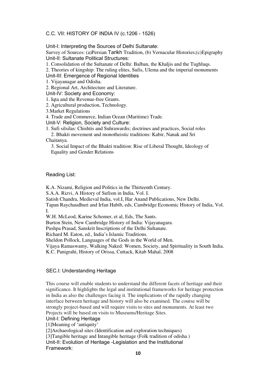# C.C. VII: HISTORY OF INDIA IV (c.1206 - 1526)

Unit-I: Interpreting the Sources of Delhi Sultanate:

Survey of Sources: (a)Persian Tarikh Tradition, (b) Vernacular Histories;(c)Epigraphy Unit-II: Sultanate Political Structures:

1. Consolidation of the Sultanate of Delhi: Balban, the Khaljis and the Tughluqs.

2. Theories of kingship: The ruling elites, Sufis, Ulema and the imperial monuments Unit-III: Emergence of Regional Identities

1. Vijayanagar and Odisha.

2. Regional Art, Architecture and Literature.

Unit-IV: Society and Economy:

1. Iqta and the Revenue-free Grants.

2. Agricultural production, Technology.

3.Market Regulations

4. Trade and Commerce, Indian Ocean (Maritime) Trade.

Unit-V: Religion, Society and Culture:

1. Sufi silsilas: Chishtis and Suhrawardis; doctrines and practices, Social roles

 2. Bhakti movement and monotheistic traditions: Kabir, Nanak and Sri Chaitanya.

 3. Social Impact of the Bhakti tradition: Rise of Liberal Thought, Ideology of Equality and Gender Relations

#### Reading List:

K.A. Nizami, Religion and Politics in the Thirteenth Century.

S.A.A. Rizvi, A History of Sufism in India, Vol. I.

Satish Chandra, Medieval India, vol.I, Har Anand Publications, New Delhi.

Tapan Raychaudhuri and Irfan Habib, eds, Cambridge Economic History of India, Vol. I.

W.H. McLeod, Karine Schomer, et al, Eds, The Sants.

Burton Stein, New Cambridge History of India: Vijayanagara.

Pushpa Prasad, Sanskrit Inscriptions of the Delhi Sultanate.

Richard M. Eaton, ed., India's Islamic Traditions.

Sheldon Pollock, Languages of the Gods in the World of Men.

Vijaya Ramaswamy, Walking Naked: Women, Society, and Spirituality in South India. K.C. Panigrahi, History of Orissa, Cuttack, Kitab Mahal, 2008

#### SEC.I: Understanding Heritage

This course will enable students to understand the different facets of heritage and their significance. It highlights the legal and institutional frameworks for heritage protection in India as also the challenges facing it. The implications of the rapidly changing interface between heritage and history will also be examined. The course will be strongly project-based and will require visits to sites and monuments. At least two Projects will be based on visits to Museums/Heritage Sites.

Unit-I: Defining Heritage

[1]Meaning of 'antiquity'

[2]Archaeological sites (Identification and exploration techniques)

[3]Tangible heritage and Intangible heritage (Folk tradition of odisha ) Unit-II: Evolution of Heritage -Legislation and the Institutional

Framework: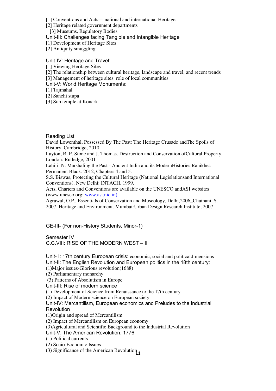[1] Conventions and Acts— national and international Heritage

[2] Heritage related government departments

[3] Museums, Regulatory Bodies

Unit-III: Challenges facing Tangible and Intangible Heritage

[1] Development of Heritage Sites

[2] Antiquity smuggling.

Unit-IV: Heritage and Travel:

[1] Viewing Heritage Sites

[2] The relationship between cultural heritage, landscape and travel, and recent trends

[3] Management of heritage sites: role of local communities

Unit-V: World Heritage Monuments:

[1] Tajmahal

[2] Sanchi stupa

[3] Sun temple at Konark

Reading List

David Lowenthal, Possessed By The Past: The Heritage Crusade andThe Spoils of History, Cambridge, 2010

Layton, R. P. Stone and J. Thomas. Destruction and Conservation ofCultural Property. London: Rutledge, 2001

Lahiri, N. Marshaling the Past - Ancient India and its ModernHistories.Ranikhet: Permanent Black. 2012, Chapters 4 and 5.

S.S. Biswas, Protecting the Cultural Heritage (National Legislationsand International Conventions). New Delhi: INTACH, 1999.

Acts, Charters and Conventions are available on the UNESCO andASI websites (www.unesco.org; www.asi.nic.in)

Agrawal, O.P., Essentials of Conservation and Museology, Delhi,2006\_Chainani, S. 2007. Heritage and Environment. Mumbai:Urban Design Research Institute, 2007

GE-III- (For non-History Students, Minor-1)

Semester IV C.C.VIII: RISE OF THE MODERN WEST – II

Unit- I: 17th century European crisis: economic, social and politicaldimensions Unit-II: The English Revolution and European politics in the 18th century: (1)Major issues-Glorious revolution(1688) (2) Parliamentary monarchy (3) Patterns of Absolutism in Europe Unit-III: Rise of modern science (1) Development of Science from Renaissance to the 17th century (2) Impact of Modern science on European society Unit-IV: Mercantilism, European economics and Preludes to the Industrial **Revolution** (1)Origin and spread of Mercantilism (2) Impact of Mercantilism on European economy (3)Agricultural and Scientific Background to the Industrial Revolution Unit-V: The American Revolution, 1776 (1) Political currents (2) Socio-Economic Issues

(3) Significance of the American Revolution<sub>11</sub>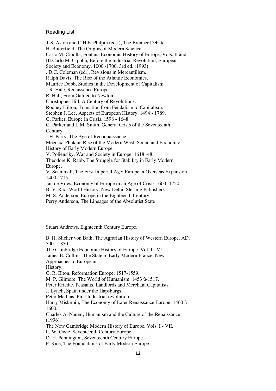#### Reading List:

T.S. Aston and C.H.E. Philpin (eds.), The Brenner Debate. H. Butterfield, The Origins of Modern Science. Carlo M. Cipolla, Fontana Economic History of Europe, Vols. II and III.Carlo M. Cipolla, Before the Industrial Revolution, European Society and Economy, 1000 -1700. 3rd ed. (1993) . D.C. Coleman (ed.), Revisions in Mercantilism. Ralph Davis, The Rise of the Atlantic Economics. Maurice Dobb, Studies in the Development of Capitalism. J.R. Hale, Renaissance Europe. R. Hall, From Galileo to Newton. Christopher Hill, A Century of Revolutions. Rodney Hilton, Transition from Feudalism to Capitalism. Stephen J. Lee, Aspects of European History, 1494 - 1789. G. Parker, Europe in Crisis, 1598 - 1648. G. Parker and L.M. Smith, General Crisis of the Seventeenth Century. J.H. Parry, The Age of Reconnaissance. Meenaxi Phukan, Rise of the Modern West: Social and Economic History of Early Modern Europe. V. Poliensiky, War and Society in Europe. 1618 -48. Theodore K. Rabb, The Struggle for Stability in Early Modern Europe. V. Scammell, The First Imperial Age: European Overseas Expansion, 1400-1715. Jan de Vries, Economy of Europe in an Age of Crisis 1600- 1750. B. V. Rao, World History, New Delhi: Sterling Publishers M. S. Anderson, Europe in the Eighteenth Century.

Perry Anderson, The Lineages of the Absolutist State

Stuart Andrews, Eighteenth Century Europe.

B. H. Slicher von Bath, The Agrarian History of Western Europe. AD. 500 - 1850.

The Cambridge Economic History of Europe. Vol. I - VI.

James B. Collins, The State in Early Modern France, New

Approaches to European

History.

G. R. Elton, Reformation Europe, 1517-1559.

M. P. Gilmore, The World of Humanism. 1453 û-1517.

Peter Kriedte, Peasants, Landlords and Merchant Capitalists.

J. Lynch, Spain under the Hapsburgs.

Peter Mathias, First Industrial revolution.

Harry Miskimin, The Economy of Later Renaissance Europe: 1460 û 1600.

Charles A. Nauert, Humanism and the Culture of the Renaissance (1996).

The New Cambridge Modern History of Europe, Vols. I - VII.

L. W. Owie, Seventeenth Century Europe.

D. H. Pennington, Seventeenth Century Europe.

F. Rice, The Foundations of Early Modern Europe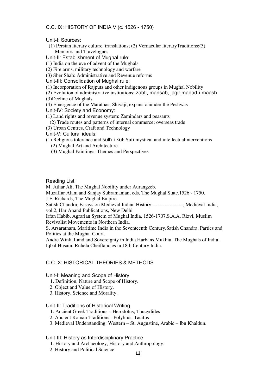## C.C. IX: HISTORY OF INDIA V (c. 1526 - 1750)

Unit-I: Sources:

 (1) Persian literary culture, translations; (2) Vernacular literaryTraditions;(3) Memoirs and Travelogues

Unit-II: Establishment of Mughal rule:

(1) India on the eve of advent of the Mughals

(2) Fire arms, military technology and warfare

(3) Sher Shah: Administrative and Revenue reforms

Unit-III: Consolidation of Mughal rule:

(1) Incorporation of Rajputs and other indigenous groups in Mughal Nobility

(2) Evolution of administrative institutions: zabti, mansab, jagir,madad-i-maash

(3)Decline of Mughals

(4) Emergence of the Marathas; Shivaji; expansionunder the Peshwas

Unit-IV: Society and Economy:

(1) Land rights and revenue system: Zamindars and peasants

(2) Trade routes and patterns of internal commerce; overseas trade

(3) Urban Centres, Craft and Technology

Unit-V: Cultural ideals:

(1) Religious tolerance and sulh-i-kul; Sufi mystical and intellectualinterventions

(2) Mughal Art and Architecture

(3) Mughal Paintings: Themes and Perspectives

#### Reading List:

M. Athar Ali, The Mughal Nobility under Aurangzeb.

Muzaffar Alam and Sanjay Subramanian, eds, The Mughal State,1526 - 1750.

J.F. Richards, The Mughal Empire.

Satish Chandra, Essays on Medieval Indian History.------------------, Medieval India, vol.2, Har Anand Publications, New Delhi

Irfan Habib, Agrarian System of Mughal India, 1526-1707.S.A.A. Rizvi, Muslim Revivalist Movements in Northern India.

S. Arsaratnam, Maritime India in the Seventeenth Century.Satish Chandra, Parties and Politics at the Mughal Court.

Andre Wink, Land and Sovereignty in India.Harbans Mukhia, The Mughals of India. Iqbal Husain, Ruhela Cheiftancies in 18th Century India.

# C.C. X: HISTORICAL THEORIES & METHODS

Unit-I: Meaning and Scope of History

1. Definition, Nature and Scope of History.

2. Object and Value of History.

3. History, Science and Morality.

## Unit-II: Traditions of Historical Writing

1. Ancient Greek Traditions – Herodotus, Thucydides

2. Ancient Roman Traditions - Polybius, Tacitus

3. Medieval Understanding: Western – St. Augustine, Arabic – Ibn Khaldun.

## Unit-III: History as Interdisciplinary Practice

1. History and Archaeology, History and Anthropology.

2. History and Political Science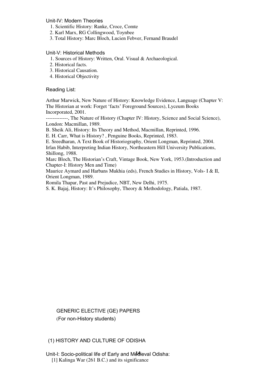## Unit-IV: Modern Theories

- 1. Scientific History: Ranke, Croce, Comte
- 2. Karl Marx, RG Collingwood, Toynbee
- 3. Total History: Marc Bloch, Lucien Febver, Fernand Braudel

## Unit-V: Historical Methods

- 1. Sources of History: Written, Oral. Visual & Archaeological.
- 2. Historical facts.
- 3. Historical Causation.
- 4. Historical Objectivity

## Reading List:

Arthur Marwick, New Nature of History: Knowledge Evidence, Language (Chapter V: The Historian at work: Forget 'facts' Foreground Sources), Lyceum Books Incorporated, 2001.

-------------, The Nature of History (Chapter IV: History, Science and Social Science), London: Macmillan, 1989.

B. Sheik Ali, History: Its Theory and Method, Macmillan, Reprinted, 1996.

E. H. Carr, What is History? , Penguine Books, Reprinted, 1983.

E. Sreedharan, A Text Book of Historiography, Orient Longman, Reprinted, 2004. Irfan Habib, Interpreting Indian History, Northeastern Hill University Publications, Shillong, 1988.

Marc Bloch, The Historian's Craft, Vintage Book, New York, 1953.(Introduction and Chapter-I: History Men and Time)

Maurice Aymard and Harbans Mukhia (eds), French Studies in History, Vols- I & II, Orient Longman, 1989.

Romila Thapar, Past and Prejudice, NBT, New Delhi, 1975.

S. K. Bajaj, History: It's Philosophy, Theory & Methodology, Patiala, 1987.

GENERIC ELECTIVE (GE) PAPERS (For non-History students)

# (1) HISTORY AND CULTURE OF ODISHA

Unit-I: Socio-political life of Early and Medieval Odisha: [1] Kalinga War (261 B.C.) and its significance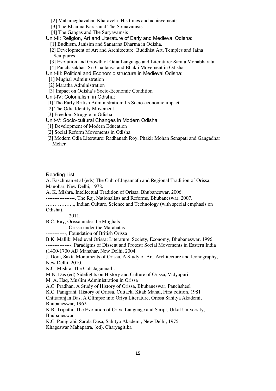- [2] Mahameghavahan Kharavela: His times and achievements
- [3] The Bhauma Karas and The Somavamsis
- [4] The Gangas and The Suryavamsis

Unit-II: Religion, Art and Literature of Early and Medieval Odisha:

- [1] Budhism, Janisim and Sanatana Dharma in Odisha.
- [2] Development of Art and Architecture: Buddhist Art, Temples and Jaina Sculptures
- [3] Evolution and Growth of Odia Language and Literature: Sarala Mohabharata
- [4] Panchasakhas, Sri Chaitanya and Bhakti Movement in Odisha

Unit-III: Political and Economic structure in Medieval Odisha:

- [1] Mughal Administration
- [2] Maratha Administration
- [3] Impact on Odisha's Socio-Economic Condition

Unit-IV: Colonialism in Odisha:

- [1] The Early British Administration: Its Socio-economic impact
- [2] The Odia Identity Movement
- [3] Freedom Struggle in Odisha
- Unit-V: Socio-cultural Changes in Modern Odisha:
- [1] Development of Modern Education
- [2] Social Reform Movements in Odisha
- [3] Modern Odia Literature: Radhanath Roy, Phakir Mohan Senapati and Gangadhar Meher

Reading List:

A. Easchman et al (eds) The Cult of Jagannath and Regional Tradition of Orissa, Manohar, New Delhi, 1978.

A. K. Mishra, Intellectual Tradition of Orissa, Bhubaneswar, 2006.

-----------------, The Raj, Nationalists and Reforms, Bhubaneswar, 2007.

…………….., Indian Culture, Science and Technology (with special emphasis on Odisha),

2011.

B.C. Ray, Orissa under the Mughals

------------, Orissa under the Marahatas

------------, Foundation of British Orissa

B.K. Mallik, Medieval Orissa: Literature, Society, Economy, Bhubaneswar, 1996 ---------------, Paradigms of Dissent and Protest: Social Movements in Eastern India (1400-1700 AD Manahar, New Delhi, 2004.

J. Dora, Sakta Monuments of Orissa, A Study of Art, Architecture and Iconography, New Delhi, 2010.

K.C. Mishra, The Cult Jagannath.

M.N. Das (ed) Sidelights on History and Culture of Orissa, Vidyapuri

M. A. Haq, Muslim Administration in Orissa

A.C. Pradhan, A Study of History of Orissa, Bhubaneswar, Panchsheel

K.C. Panigrahi, History of Orissa, Cuttack, Kitab Mahal, First edition, 1981

Chittaranjan Das, A Glimpse into Oriya Literature, Orissa Sahitya Akademi, Bhubaneswar, 1962

K.B. Tripathi, The Evolution of Oriya Language and Script, Utkal University, Bhubaneswar

K.C. Panigrahi, Sarala Dasa, Sahitya Akademi, New Delhi, 1975 Khageswar Mahapatra, (ed), Charyagitika